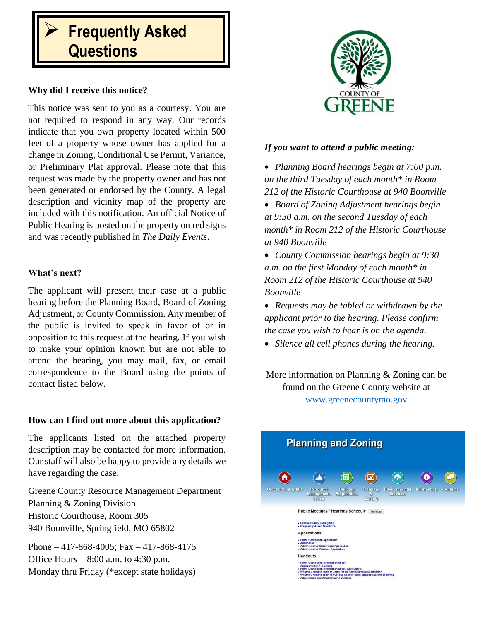# **Frequently Asked Questions**

## **Why did I receive this notice?**

This notice was sent to you as a courtesy. You are not required to respond in any way. Our records indicate that you own property located within 500 feet of a property whose owner has applied for a change in Zoning, Conditional Use Permit, Variance, or Preliminary Plat approval. Please note that this request was made by the property owner and has not been generated or endorsed by the County. A legal description and vicinity map of the property are included with this notification. An official Notice of Public Hearing is posted on the property on red signs and was recently published in *The Daily Events*.

## **What's next?**

The applicant will present their case at a public hearing before the Planning Board, Board of Zoning Adjustment, or County Commission. Any member of the public is invited to speak in favor of or in opposition to this request at the hearing. If you wish to make your opinion known but are not able to attend the hearing, you may mail, fax, or email correspondence to the Board using the points of contact listed below.

## **How can I find out more about this application?**

The applicants listed on the attached property description may be contacted for more information. Our staff will also be happy to provide any details we have regarding the case.

Greene County Resource Management Department Planning & Zoning Division Historic Courthouse, Room 305 940 Boonville, Springfield, MO 65802

Phone – 417-868-4005; Fax – 417-868-4175 Office Hours  $-8:00$  a.m. to 4:30 p.m. Monday thru Friday (\*except state holidays)



#### *If you want to attend a public meeting:*

 *Planning Board hearings begin at 7:00 p.m. on the third Tuesday of each month\* in Room 212 of the Historic Courthouse at 940 Boonville*

 *Board of Zoning Adjustment hearings begin at 9:30 a.m. on the second Tuesday of each month\* in Room 212 of the Historic Courthouse at 940 Boonville*

 *County Commission hearings begin at 9:30 a.m. on the first Monday of each month\* in Room 212 of the Historic Courthouse at 940 Boonville* 

 *Requests may be tabled or withdrawn by the applicant prior to the hearing. Please confirm the case you wish to hear is on the agenda.*

*Silence all cell phones during the hearing.*

More information on Planning & Zoning can be found on the Greene County website at [www.greenecountymo.gov](http://www.greenecountymo.gov/)